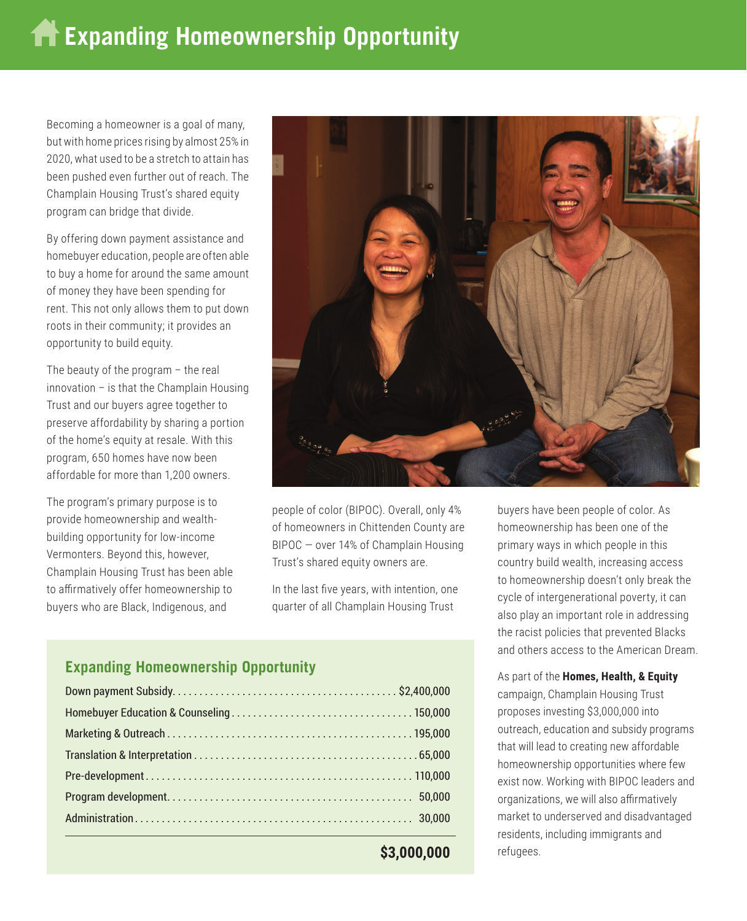Becoming a homeowner is a goal of many, but with home prices rising by almost 25% in 2020, what used to be a stretch to attain has been pushed even further out of reach. The Champlain Housing Trust's shared equity program can bridge that divide.

By offering down payment assistance and homebuyer education, people are often able to buy a home for around the same amount of money they have been spending for rent. This not only allows them to put down roots in their community; it provides an opportunity to build equity.

The beauty of the program – the real innovation – is that the Champlain Housing Trust and our buyers agree together to preserve affordability by sharing a portion of the home's equity at resale. With this program, 650 homes have now been affordable for more than 1,200 owners.

The program's primary purpose is to provide homeownership and wealthbuilding opportunity for low-income Vermonters. Beyond this, however, Champlain Housing Trust has been able to affirmatively offer homeownership to buyers who are Black, Indigenous, and



people of color (BIPOC). Overall, only 4% of homeowners in Chittenden County are BIPOC — over 14% of Champlain Housing Trust's shared equity owners are.

In the last five years, with intention, one quarter of all Champlain Housing Trust

## **Expanding Homeownership Opportunity**

**<sup>\$3,000,000</sup>**

buyers have been people of color. As homeownership has been one of the primary ways in which people in this country build wealth, increasing access to homeownership doesn't only break the cycle of intergenerational poverty, it can also play an important role in addressing the racist policies that prevented Blacks and others access to the American Dream.

As part of the **Homes, Health, & Equity**  campaign, Champlain Housing Trust proposes investing \$3,000,000 into outreach, education and subsidy programs that will lead to creating new affordable homeownership opportunities where few exist now. Working with BIPOC leaders and organizations, we will also affirmatively market to underserved and disadvantaged residents, including immigrants and refugees.